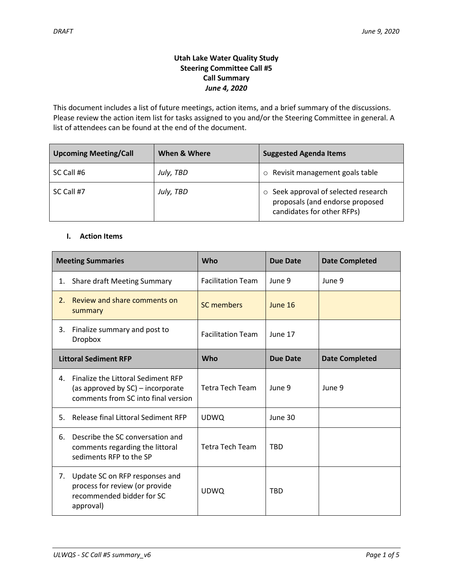# **Utah Lake Water Quality Study Steering Committee Call #5 Call Summary** *June 4, 2020*

This document includes a list of future meetings, action items, and a brief summary of the discussions. Please review the action item list for tasks assigned to you and/or the Steering Committee in general. A list of attendees can be found at the end of the document.

| <b>Upcoming Meeting/Call</b> | When & Where | <b>Suggested Agenda Items</b>                                                                               |
|------------------------------|--------------|-------------------------------------------------------------------------------------------------------------|
| SC Call #6                   | July, TBD    | Revisit management goals table<br>$\circ$                                                                   |
| SC Call #7                   | July, TBD    | $\circ$ Seek approval of selected research<br>proposals (and endorse proposed<br>candidates for other RFPs) |

## **I. Action Items**

| <b>Meeting Summaries</b>     |                                                                                                                | Who                      | <b>Due Date</b> | <b>Date Completed</b> |
|------------------------------|----------------------------------------------------------------------------------------------------------------|--------------------------|-----------------|-----------------------|
| 1.                           | <b>Share draft Meeting Summary</b>                                                                             | <b>Facilitation Team</b> | June 9          | June 9                |
| $2_{1}$                      | Review and share comments on<br>summary                                                                        | <b>SC members</b>        | June 16         |                       |
| 3.                           | Finalize summary and post to<br><b>Dropbox</b>                                                                 | <b>Facilitation Team</b> | June 17         |                       |
| <b>Littoral Sediment RFP</b> |                                                                                                                | Who                      | <b>Due Date</b> | <b>Date Completed</b> |
| 4.                           | Finalize the Littoral Sediment RFP<br>(as approved by SC) – incorporate<br>comments from SC into final version | <b>Tetra Tech Team</b>   | June 9          | June 9                |
| 5.                           | Release final Littoral Sediment RFP                                                                            | <b>UDWQ</b>              | June 30         |                       |
| 6.                           | Describe the SC conversation and<br>comments regarding the littoral<br>sediments RFP to the SP                 | <b>Tetra Tech Team</b>   | <b>TBD</b>      |                       |
| 7.                           | Update SC on RFP responses and<br>process for review (or provide<br>recommended bidder for SC<br>approval)     | <b>UDWQ</b>              | <b>TBD</b>      |                       |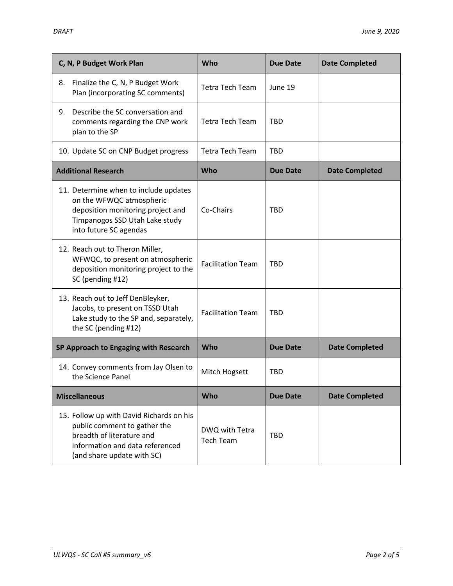| C, N, P Budget Work Plan                                                                                                                                               | Who                                | <b>Due Date</b> | <b>Date Completed</b> |
|------------------------------------------------------------------------------------------------------------------------------------------------------------------------|------------------------------------|-----------------|-----------------------|
| Finalize the C, N, P Budget Work<br>8.<br>Plan (incorporating SC comments)                                                                                             | <b>Tetra Tech Team</b>             | June 19         |                       |
| Describe the SC conversation and<br>9.<br>comments regarding the CNP work<br>plan to the SP                                                                            | <b>Tetra Tech Team</b>             | <b>TBD</b>      |                       |
| 10. Update SC on CNP Budget progress                                                                                                                                   | <b>Tetra Tech Team</b>             | <b>TBD</b>      |                       |
| <b>Additional Research</b>                                                                                                                                             | Who                                | <b>Due Date</b> | <b>Date Completed</b> |
| 11. Determine when to include updates<br>on the WFWQC atmospheric<br>deposition monitoring project and<br>Timpanogos SSD Utah Lake study<br>into future SC agendas     | Co-Chairs                          | <b>TBD</b>      |                       |
| 12. Reach out to Theron Miller,<br>WFWQC, to present on atmospheric<br>deposition monitoring project to the<br>SC (pending #12)                                        | <b>Facilitation Team</b>           | <b>TBD</b>      |                       |
| 13. Reach out to Jeff DenBleyker,<br>Jacobs, to present on TSSD Utah<br>Lake study to the SP and, separately,<br>the SC (pending #12)                                  | <b>Facilitation Team</b>           | <b>TBD</b>      |                       |
| SP Approach to Engaging with Research                                                                                                                                  | Who                                | <b>Due Date</b> | <b>Date Completed</b> |
| 14. Convey comments from Jay Olsen to<br>the Science Panel                                                                                                             | Mitch Hogsett                      | <b>TBD</b>      |                       |
| <b>Miscellaneous</b>                                                                                                                                                   | Who                                | <b>Due Date</b> | <b>Date Completed</b> |
| 15. Follow up with David Richards on his<br>public comment to gather the<br>breadth of literature and<br>information and data referenced<br>(and share update with SC) | DWQ with Tetra<br><b>Tech Team</b> | <b>TBD</b>      |                       |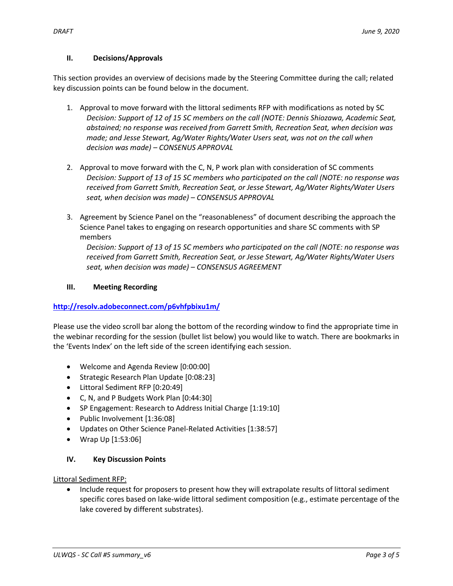# **II. Decisions/Approvals**

This section provides an overview of decisions made by the Steering Committee during the call; related key discussion points can be found below in the document.

- 1. Approval to move forward with the littoral sediments RFP with modifications as noted by SC *Decision: Support of 12 of 15 SC members on the call (NOTE: Dennis Shiozawa, Academic Seat, abstained; no response was received from Garrett Smith, Recreation Seat, when decision was made; and Jesse Stewart, Ag/Water Rights/Water Users seat, was not on the call when decision was made) – CONSENUS APPROVAL*
- 2. Approval to move forward with the C, N, P work plan with consideration of SC comments *Decision: Support of 13 of 15 SC members who participated on the call (NOTE: no response was received from Garrett Smith, Recreation Seat, or Jesse Stewart, Ag/Water Rights/Water Users seat, when decision was made) – CONSENSUS APPROVAL*
- 3. Agreement by Science Panel on the "reasonableness" of document describing the approach the Science Panel takes to engaging on research opportunities and share SC comments with SP members

*Decision: Support of 13 of 15 SC members who participated on the call (NOTE: no response was received from Garrett Smith, Recreation Seat, or Jesse Stewart, Ag/Water Rights/Water Users seat, when decision was made) – CONSENSUS AGREEMENT*

# **III. Meeting Recording**

# **[http://resolv.adobeconnect.com/p6vhfpbixu1m/](http://resolv.adobeconnect.com/p6vhfpbixu1m/?OWASP_CSRFTOKEN=9c4b216600c92d603751f530f7403d33db68f00306b103a3d87d48662deb84c6)**

Please use the video scroll bar along the bottom of the recording window to find the appropriate time in the webinar recording for the session (bullet list below) you would like to watch. There are bookmarks in the 'Events Index' on the left side of the screen identifying each session.

- Welcome and Agenda Review [0:00:00]
- Strategic Research Plan Update [0:08:23]
- Littoral Sediment RFP [0:20:49]
- C, N, and P Budgets Work Plan [0:44:30]
- SP Engagement: Research to Address Initial Charge [1:19:10]
- Public Involvement [1:36:08]
- Updates on Other Science Panel-Related Activities [1:38:57]
- Wrap Up [1:53:06]

# **IV. Key Discussion Points**

Littoral Sediment RFP:

 Include request for proposers to present how they will extrapolate results of littoral sediment specific cores based on lake-wide littoral sediment composition (e.g., estimate percentage of the lake covered by different substrates).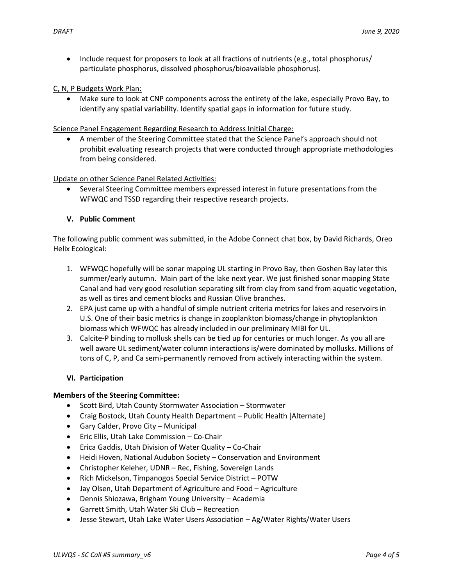• Include request for proposers to look at all fractions of nutrients (e.g., total phosphorus/ particulate phosphorus, dissolved phosphorus/bioavailable phosphorus).

### C, N, P Budgets Work Plan:

 Make sure to look at CNP components across the entirety of the lake, especially Provo Bay, to identify any spatial variability. Identify spatial gaps in information for future study.

Science Panel Engagement Regarding Research to Address Initial Charge:

 A member of the Steering Committee stated that the Science Panel's approach should not prohibit evaluating research projects that were conducted through appropriate methodologies from being considered.

### Update on other Science Panel Related Activities:

• Several Steering Committee members expressed interest in future presentations from the WFWQC and TSSD regarding their respective research projects.

## **V. Public Comment**

The following public comment was submitted, in the Adobe Connect chat box, by David Richards, Oreo Helix Ecological:

- 1. WFWQC hopefully will be sonar mapping UL starting in Provo Bay, then Goshen Bay later this summer/early autumn. Main part of the lake next year. We just finished sonar mapping State Canal and had very good resolution separating silt from clay from sand from aquatic vegetation, as well as tires and cement blocks and Russian Olive branches.
- 2. EPA just came up with a handful of simple nutrient criteria metrics for lakes and reservoirs in U.S. One of their basic metrics is change in zooplankton biomass/change in phytoplankton biomass which WFWQC has already included in our preliminary MIBI for UL.
- 3. Calcite-P binding to mollusk shells can be tied up for centuries or much longer. As you all are well aware UL sediment/water column interactions is/were dominated by mollusks. Millions of tons of C, P, and Ca semi-permanently removed from actively interacting within the system.

#### **VI. Participation**

#### **Members of the Steering Committee:**

- Scott Bird, Utah County Stormwater Association Stormwater
- Craig Bostock, Utah County Health Department Public Health [Alternate]
- Gary Calder, Provo City Municipal
- Eric Ellis, Utah Lake Commission Co-Chair
- Erica Gaddis, Utah Division of Water Quality Co-Chair
- Heidi Hoven, National Audubon Society Conservation and Environment
- Christopher Keleher, UDNR Rec, Fishing, Sovereign Lands
- Rich Mickelson, Timpanogos Special Service District POTW
- Jay Olsen, Utah Department of Agriculture and Food Agriculture
- Dennis Shiozawa, Brigham Young University Academia
- Garrett Smith, Utah Water Ski Club Recreation
- Jesse Stewart, Utah Lake Water Users Association Ag/Water Rights/Water Users